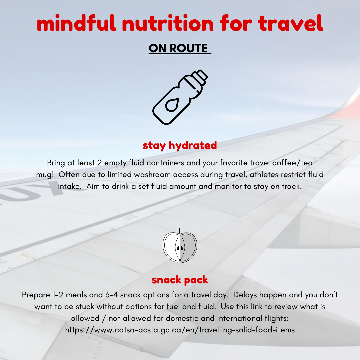# mindful nutrition for travel

## ON ROUTE



## stay hydrated

Bring at least 2 empty fluid containers and your favorite travel coffee/tea mug! Often due to limited washroom access during travel, athletes restrict fluid intake. Aim to drink a set fluid amount and monitor to stay on track.



### snack pack

Prepare 1-2 meals and 3-4 snack options for a travel day. Delays happen and you don't want to be stuck without options for fuel and fluid. Use this link to review what is allowed / not allowed for domestic and international flights: <https://www.catsa-acsta.gc.ca/en/travelling-solid-food-items>